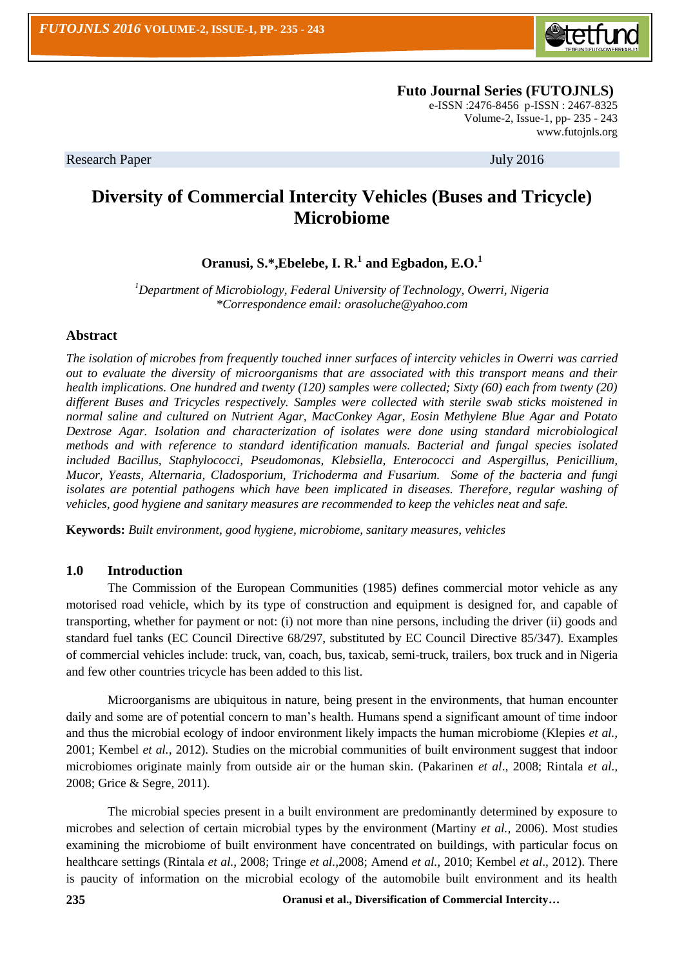

 **Futo Journal Series (FUTOJNLS)** e-ISSN :2476-8456 p-ISSN : 2467-8325

Volume-2, Issue-1, pp- 235 - 243 [www.futojnls.org](http://www.futojnls.org/)

Research Paper July 2016

# **Diversity of Commercial Intercity Vehicles (Buses and Tricycle) Microbiome**

## **Oranusi, S.\*,Ebelebe, I. R.<sup>1</sup> and Egbadon, E.O.<sup>1</sup>**

*<sup>1</sup>Department of Microbiology, Federal University of Technology, Owerri, Nigeria \*Correspondence email: orasoluche@yahoo.com*

#### **Abstract**

*The isolation of microbes from frequently touched inner surfaces of intercity vehicles in Owerri was carried out to evaluate the diversity of microorganisms that are associated with this transport means and their health implications. One hundred and twenty (120) samples were collected; Sixty (60) each from twenty (20) different Buses and Tricycles respectively. Samples were collected with sterile swab sticks moistened in normal saline and cultured on Nutrient Agar, MacConkey Agar, Eosin Methylene Blue Agar and Potato Dextrose Agar. Isolation and characterization of isolates were done using standard microbiological methods and with reference to standard identification manuals. Bacterial and fungal species isolated included Bacillus, Staphylococci, Pseudomonas, Klebsiella, Enterococci and Aspergillus, Penicillium, Mucor, Yeasts, Alternaria, Cladosporium, Trichoderma and Fusarium. Some of the bacteria and fungi isolates are potential pathogens which have been implicated in diseases. Therefore, regular washing of vehicles, good hygiene and sanitary measures are recommended to keep the vehicles neat and safe.* 

**Keywords:** *Built environment, good hygiene, microbiome, sanitary measures, vehicles*

#### **1.0 Introduction**

The Commission of the European Communities (1985) defines commercial motor vehicle as any motorised road vehicle, which by its type of construction and equipment is designed for, and capable of transporting, whether for payment or not: (i) not more than nine persons, including the driver (ii) goods and standard fuel tanks (EC Council Directive 68/297, substituted by EC Council Directive 85/347). Examples of commercial vehicles include: truck, van, coach, bus, taxicab, semi-truck, trailers, box truck and in Nigeria and few other countries tricycle has been added to this list.

Microorganisms are ubiquitous in nature, being present in the environments, that human encounter daily and some are of potential concern to man's health. Humans spend a significant amount of time indoor and thus the microbial ecology of indoor environment likely impacts the human microbiome (Klepies *et al.*, 2001; Kembel *et al.,* 2012). Studies on the microbial communities of built environment suggest that indoor microbiomes originate mainly from outside air or the human skin. (Pakarinen *et al*., 2008; Rintala *et al.,* 2008; Grice & Segre, 2011).

The microbial species present in a built environment are predominantly determined by exposure to microbes and selection of certain microbial types by the environment (Martiny *et al.,* 2006). Most studies examining the microbiome of built environment have concentrated on buildings, with particular focus on healthcare settings (Rintala *et al.,* 2008; Tringe *et al.,*2008; Amend *et al.,* 2010; Kembel *et al*., 2012). There is paucity of information on the microbial ecology of the automobile built environment and its health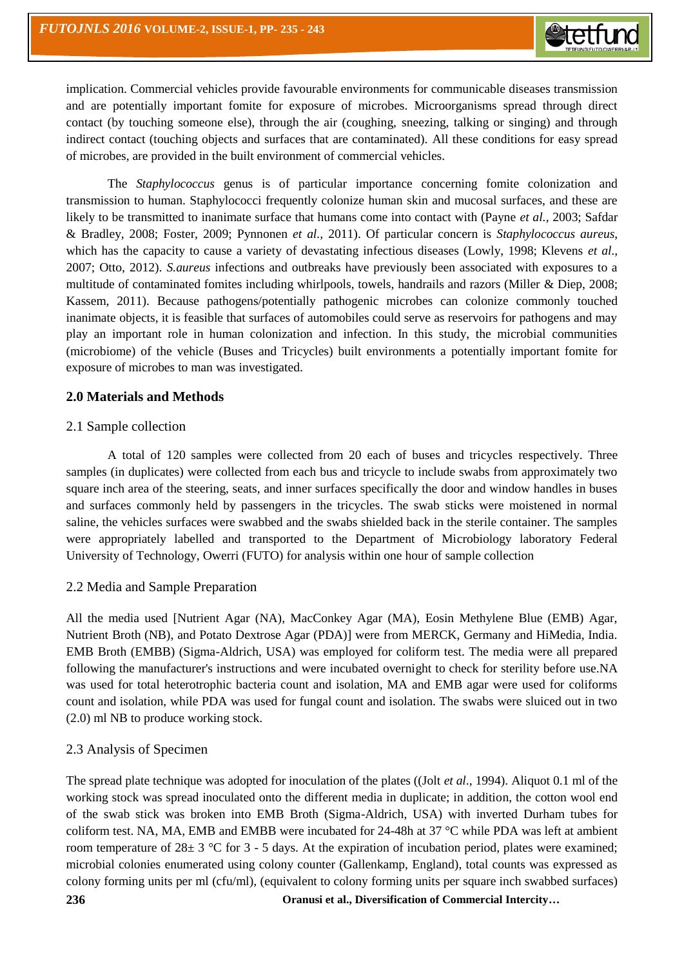implication. Commercial vehicles provide favourable environments for communicable diseases transmission and are potentially important fomite for exposure of microbes. Microorganisms spread through direct contact (by touching someone else), through the air (coughing, sneezing, talking or singing) and through indirect contact (touching objects and surfaces that are contaminated). All these conditions for easy spread of microbes, are provided in the built environment of commercial vehicles.

The *Staphylococcus* genus is of particular importance concerning fomite colonization and transmission to human. Staphylococci frequently colonize human skin and mucosal surfaces, and these are likely to be transmitted to inanimate surface that humans come into contact with (Payne *et al.,* 2003; Safdar & Bradley, 2008; Foster, 2009; Pynnonen *et al.,* 2011). Of particular concern is *Staphylococcus aureus*, which has the capacity to cause a variety of devastating infectious diseases (Lowly, 1998; Klevens *et al.*, 2007; Otto, 2012). *S.aureus* infections and outbreaks have previously been associated with exposures to a multitude of contaminated fomites including whirlpools, towels, handrails and razors (Miller & Diep, 2008; Kassem, 2011). Because pathogens/potentially pathogenic microbes can colonize commonly touched inanimate objects, it is feasible that surfaces of automobiles could serve as reservoirs for pathogens and may play an important role in human colonization and infection. In this study, the microbial communities (microbiome) of the vehicle (Buses and Tricycles) built environments a potentially important fomite for exposure of microbes to man was investigated.

## **2.0 Materials and Methods**

## 2.1 Sample collection

A total of 120 samples were collected from 20 each of buses and tricycles respectively. Three samples (in duplicates) were collected from each bus and tricycle to include swabs from approximately two square inch area of the steering, seats, and inner surfaces specifically the door and window handles in buses and surfaces commonly held by passengers in the tricycles. The swab sticks were moistened in normal saline, the vehicles surfaces were swabbed and the swabs shielded back in the sterile container. The samples were appropriately labelled and transported to the Department of Microbiology laboratory Federal University of Technology, Owerri (FUTO) for analysis within one hour of sample collection

## 2.2 Media and Sample Preparation

All the media used [Nutrient Agar (NA), MacConkey Agar (MA), Eosin Methylene Blue (EMB) Agar, Nutrient Broth (NB), and Potato Dextrose Agar (PDA)] were from MERCK, Germany and HiMedia, India. EMB Broth (EMBB) (Sigma-Aldrich, USA) was employed for coliform test. The media were all prepared following the manufacturer's instructions and were incubated overnight to check for sterility before use.NA was used for total heterotrophic bacteria count and isolation, MA and EMB agar were used for coliforms count and isolation, while PDA was used for fungal count and isolation. The swabs were sluiced out in two (2.0) ml NB to produce working stock.

## 2.3 Analysis of Specimen

The spread plate technique was adopted for inoculation of the plates ((Jolt *et al*., 1994). Aliquot 0.1 ml of the working stock was spread inoculated onto the different media in duplicate; in addition, the cotton wool end of the swab stick was broken into EMB Broth (Sigma-Aldrich, USA) with inverted Durham tubes for coliform test. NA, MA, EMB and EMBB were incubated for 24-48h at 37  $\degree$ C while PDA was left at ambient room temperature of  $28\pm 3$  °C for 3 - 5 days. At the expiration of incubation period, plates were examined; microbial colonies enumerated using colony counter (Gallenkamp, England), total counts was expressed as colony forming units per ml (cfu/ml), (equivalent to colony forming units per square inch swabbed surfaces)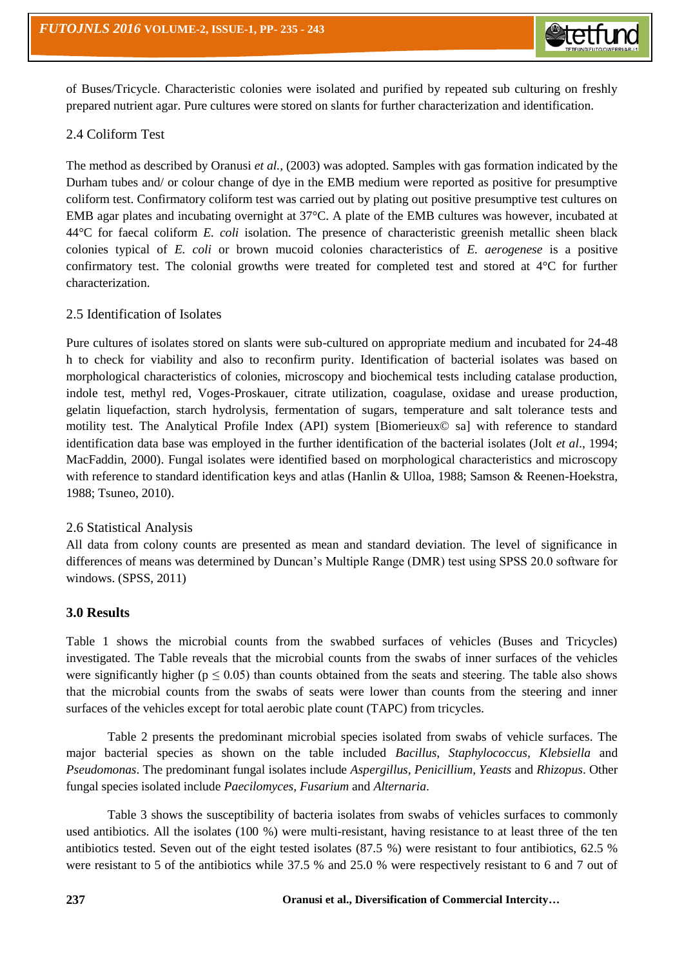of Buses/Tricycle. Characteristic colonies were isolated and purified by repeated sub culturing on freshly prepared nutrient agar. Pure cultures were stored on slants for further characterization and identification.

## 2.4 Coliform Test

The method as described by Oranusi *et al.,* (2003) was adopted. Samples with gas formation indicated by the Durham tubes and/ or colour change of dye in the EMB medium were reported as positive for presumptive coliform test. Confirmatory coliform test was carried out by plating out positive presumptive test cultures on EMB agar plates and incubating overnight at 37°C. A plate of the EMB cultures was however, incubated at 44°C for faecal coliform *E. coli* isolation. The presence of characteristic greenish metallic sheen black colonies typical of *E. coli* or brown mucoid colonies characteristics of *E. aerogenese* is a positive confirmatory test. The colonial growths were treated for completed test and stored at 4°C for further characterization.

## 2.5 Identification of Isolates

Pure cultures of isolates stored on slants were sub-cultured on appropriate medium and incubated for 24-48 h to check for viability and also to reconfirm purity. Identification of bacterial isolates was based on morphological characteristics of colonies, microscopy and biochemical tests including catalase production, indole test, methyl red, Voges-Proskauer, citrate utilization, coagulase, oxidase and urease production, gelatin liquefaction, starch hydrolysis, fermentation of sugars, temperature and salt tolerance tests and motility test. The Analytical Profile Index (API) system [Biomerieux© sa] with reference to standard identification data base was employed in the further identification of the bacterial isolates (Jolt *et al*., 1994; MacFaddin, 2000). Fungal isolates were identified based on morphological characteristics and microscopy with reference to standard identification keys and atlas (Hanlin & Ulloa, 1988; Samson & Reenen-Hoekstra, 1988; Tsuneo, 2010).

## 2.6 Statistical Analysis

All data from colony counts are presented as mean and standard deviation. The level of significance in differences of means was determined by Duncan's Multiple Range (DMR) test using SPSS 20.0 software for windows. (SPSS, 2011)

## **3.0 Results**

Table 1 shows the microbial counts from the swabbed surfaces of vehicles (Buses and Tricycles) investigated. The Table reveals that the microbial counts from the swabs of inner surfaces of the vehicles were significantly higher ( $p \le 0.05$ ) than counts obtained from the seats and steering. The table also shows that the microbial counts from the swabs of seats were lower than counts from the steering and inner surfaces of the vehicles except for total aerobic plate count (TAPC) from tricycles.

Table 2 presents the predominant microbial species isolated from swabs of vehicle surfaces. The major bacterial species as shown on the table included *Bacillus, Staphylococcus, Klebsiella* and *Pseudomonas*. The predominant fungal isolates include *Aspergillus, Penicillium, Yeasts* and *Rhizopus*. Other fungal species isolated include *Paecilomyces, Fusarium* and *Alternaria*.

Table 3 shows the susceptibility of bacteria isolates from swabs of vehicles surfaces to commonly used antibiotics. All the isolates (100 %) were multi-resistant, having resistance to at least three of the ten antibiotics tested. Seven out of the eight tested isolates (87.5 %) were resistant to four antibiotics, 62.5 % were resistant to 5 of the antibiotics while 37.5 % and 25.0 % were respectively resistant to 6 and 7 out of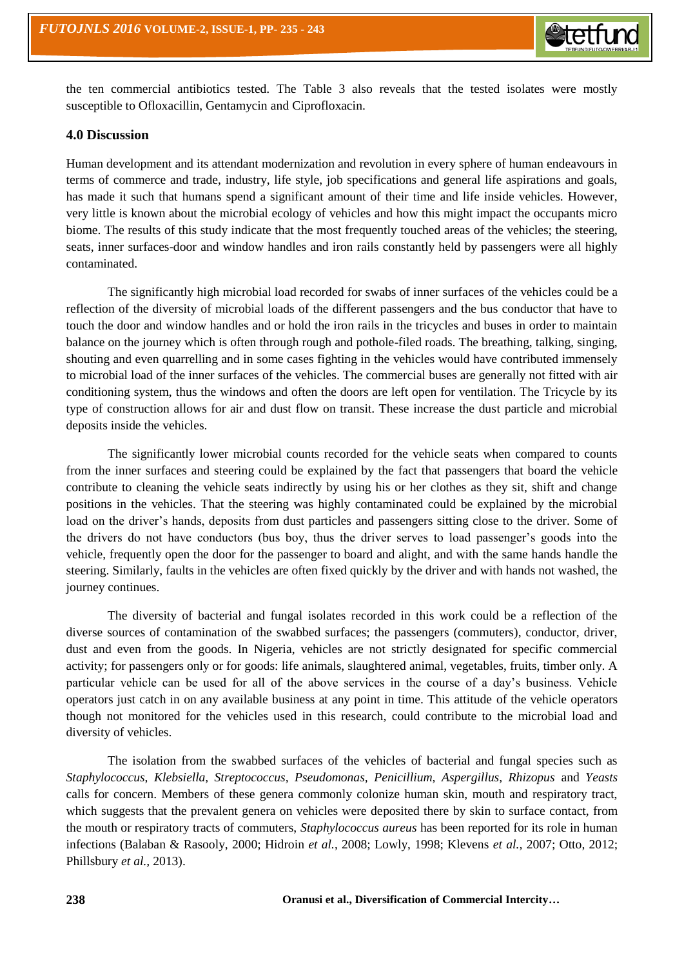

the ten commercial antibiotics tested. The Table 3 also reveals that the tested isolates were mostly susceptible to Ofloxacillin, Gentamycin and Ciprofloxacin.

#### **4.0 Discussion**

Human development and its attendant modernization and revolution in every sphere of human endeavours in terms of commerce and trade, industry, life style, job specifications and general life aspirations and goals, has made it such that humans spend a significant amount of their time and life inside vehicles. However, very little is known about the microbial ecology of vehicles and how this might impact the occupants micro biome. The results of this study indicate that the most frequently touched areas of the vehicles; the steering, seats, inner surfaces-door and window handles and iron rails constantly held by passengers were all highly contaminated.

The significantly high microbial load recorded for swabs of inner surfaces of the vehicles could be a reflection of the diversity of microbial loads of the different passengers and the bus conductor that have to touch the door and window handles and or hold the iron rails in the tricycles and buses in order to maintain balance on the journey which is often through rough and pothole-filed roads. The breathing, talking, singing, shouting and even quarrelling and in some cases fighting in the vehicles would have contributed immensely to microbial load of the inner surfaces of the vehicles. The commercial buses are generally not fitted with air conditioning system, thus the windows and often the doors are left open for ventilation. The Tricycle by its type of construction allows for air and dust flow on transit. These increase the dust particle and microbial deposits inside the vehicles.

The significantly lower microbial counts recorded for the vehicle seats when compared to counts from the inner surfaces and steering could be explained by the fact that passengers that board the vehicle contribute to cleaning the vehicle seats indirectly by using his or her clothes as they sit, shift and change positions in the vehicles. That the steering was highly contaminated could be explained by the microbial load on the driver's hands, deposits from dust particles and passengers sitting close to the driver. Some of the drivers do not have conductors (bus boy, thus the driver serves to load passenger's goods into the vehicle, frequently open the door for the passenger to board and alight, and with the same hands handle the steering. Similarly, faults in the vehicles are often fixed quickly by the driver and with hands not washed, the journey continues.

The diversity of bacterial and fungal isolates recorded in this work could be a reflection of the diverse sources of contamination of the swabbed surfaces; the passengers (commuters), conductor, driver, dust and even from the goods. In Nigeria, vehicles are not strictly designated for specific commercial activity; for passengers only or for goods: life animals, slaughtered animal, vegetables, fruits, timber only. A particular vehicle can be used for all of the above services in the course of a day's business. Vehicle operators just catch in on any available business at any point in time. This attitude of the vehicle operators though not monitored for the vehicles used in this research, could contribute to the microbial load and diversity of vehicles.

The isolation from the swabbed surfaces of the vehicles of bacterial and fungal species such as *Staphylococcus*, *Klebsiella, Streptococcus, Pseudomonas, Penicillium, Aspergillus, Rhizopus* and *Yeasts* calls for concern. Members of these genera commonly colonize human skin, mouth and respiratory tract, which suggests that the prevalent genera on vehicles were deposited there by skin to surface contact, from the mouth or respiratory tracts of commuters, *Staphylococcus aureus* has been reported for its role in human infections (Balaban & Rasooly, 2000; Hidroin *et al.*, 2008; Lowly, 1998; Klevens *et al.,* 2007; Otto, 2012; Phillsbury *et al.,* 2013).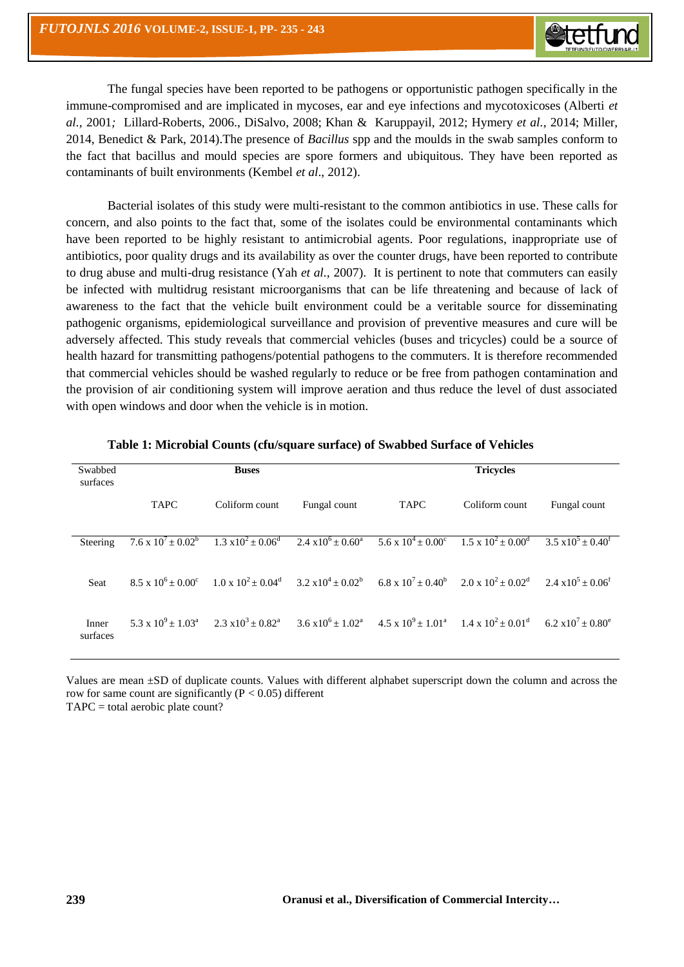The fungal species have been reported to be pathogens or opportunistic pathogen specifically in the immune-compromised and are implicated in mycoses, ear and eye infections and mycotoxicoses (Alberti *et al.,* 2001*;* Lillard-Roberts, 2006., DiSalvo, 2008; Khan & Karuppayil, 2012; Hymery *et al.*, 2014; Miller, 2014, Benedict & Park, 2014).The presence of *Bacillus* spp and the moulds in the swab samples conform to the fact that bacillus and mould species are spore formers and ubiquitous. They have been reported as contaminants of built environments (Kembel *et al*., 2012).

Bacterial isolates of this study were multi-resistant to the common antibiotics in use. These calls for concern, and also points to the fact that, some of the isolates could be environmental contaminants which have been reported to be highly resistant to antimicrobial agents. Poor regulations, inappropriate use of antibiotics, poor quality drugs and its availability as over the counter drugs, have been reported to contribute to drug abuse and multi-drug resistance (Yah *et al.,* 2007). It is pertinent to note that commuters can easily be infected with multidrug resistant microorganisms that can be life threatening and because of lack of awareness to the fact that the vehicle built environment could be a veritable source for disseminating pathogenic organisms, epidemiological surveillance and provision of preventive measures and cure will be adversely affected. This study reveals that commercial vehicles (buses and tricycles) could be a source of health hazard for transmitting pathogens/potential pathogens to the commuters. It is therefore recommended that commercial vehicles should be washed regularly to reduce or be free from pathogen contamination and the provision of air conditioning system will improve aeration and thus reduce the level of dust associated with open windows and door when the vehicle is in motion.

| Swabbed           |             | <b>Buses</b>                                                                           |              | <b>Tricycles</b>           |                                                                                                                                                                               |                                     |  |
|-------------------|-------------|----------------------------------------------------------------------------------------|--------------|----------------------------|-------------------------------------------------------------------------------------------------------------------------------------------------------------------------------|-------------------------------------|--|
| surfaces          | <b>TAPC</b> | Coliform count                                                                         | Fungal count | <b>TAPC</b>                | Coliform count                                                                                                                                                                | Fungal count                        |  |
| Steering          |             | $7.6 \times 10^7 \pm 0.02^b$ $1.3 \times 10^2 \pm 0.06^d$ $2.4 \times 10^6 \pm 0.60^a$ |              | $5.6 \times 10^4 + 0.00^c$ | $1.5 \times 10^2 + 0.00^d$                                                                                                                                                    | $3.5 \times 10^5 + 0.40^{\text{f}}$ |  |
| Seat              |             |                                                                                        |              |                            | $8.5 \times 10^6 \pm 0.00^c$ $1.0 \times 10^2 \pm 0.04^d$ $3.2 \times 10^4 \pm 0.02^b$ $6.8 \times 10^7 \pm 0.40^b$ $2.0 \times 10^2 \pm 0.02^d$ $2.4 \times 10^5 \pm 0.06^c$ |                                     |  |
| Inner<br>surfaces |             |                                                                                        |              |                            | 5.3 x $10^9 \pm 1.03^a$ $2.3 \times 10^3 \pm 0.82^a$ $3.6 \times 10^6 \pm 1.02^a$ $4.5 \times 10^9 \pm 1.01^a$ $1.4 \times 10^2 \pm 0.01^d$ $6.2 \times 10^7 \pm 0.80^e$      |                                     |  |

| Table 1: Microbial Counts (cfu/square surface) of Swabbed Surface of Vehicles |  |  |  |  |  |  |
|-------------------------------------------------------------------------------|--|--|--|--|--|--|
|-------------------------------------------------------------------------------|--|--|--|--|--|--|

Values are mean ±SD of duplicate counts. Values with different alphabet superscript down the column and across the row for same count are significantly ( $P < 0.05$ ) different TAPC = total aerobic plate count?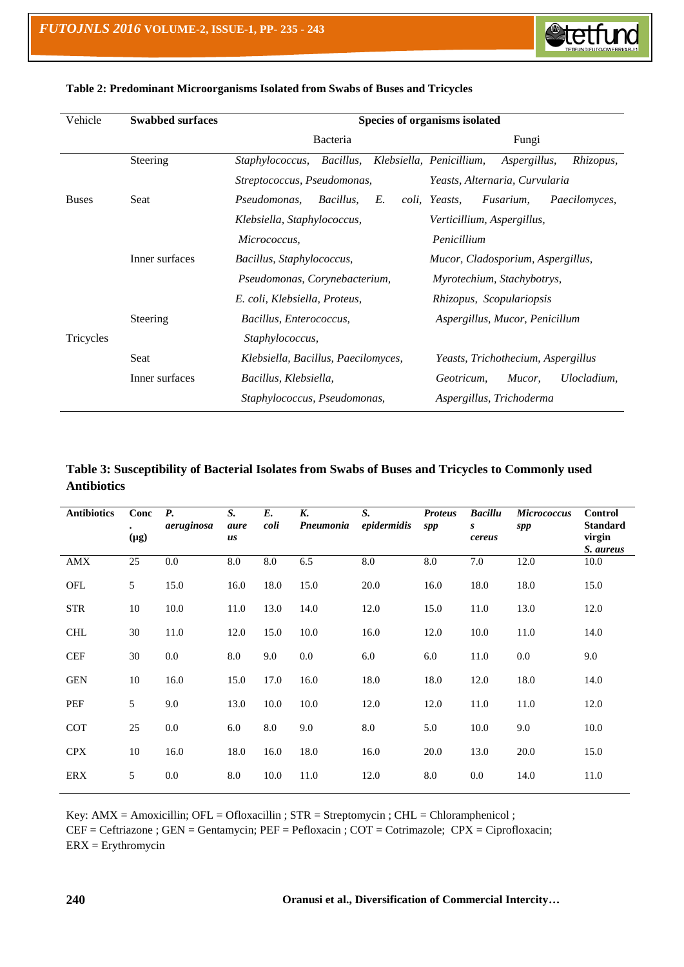

| Vehicle      | <b>Swabbed surfaces</b> | Species of organisms isolated       |                                                       |  |  |  |  |
|--------------|-------------------------|-------------------------------------|-------------------------------------------------------|--|--|--|--|
|              |                         | <b>Bacteria</b>                     | Fungi                                                 |  |  |  |  |
|              | Steering                | Bacillus,<br><i>Staphylococcus,</i> | Klebsiella, Penicillium,<br>Rhizopus,<br>Aspergillus, |  |  |  |  |
|              |                         | Streptococcus, Pseudomonas,         | Yeasts, Alternaria, Curvularia                        |  |  |  |  |
| <b>Buses</b> | Seat                    | Bacillus,<br>E.<br>Pseudomonas,     | Fusarium,<br>coli, Yeasts,<br><i>Paecilomyces,</i>    |  |  |  |  |
|              |                         | Klebsiella, Staphylococcus,         | Verticillium, Aspergillus,                            |  |  |  |  |
|              |                         | Micrococcus,                        | Penicillium                                           |  |  |  |  |
|              | Inner surfaces          | Bacillus, Staphylococcus,           | Mucor, Cladosporium, Aspergillus,                     |  |  |  |  |
|              |                         | Pseudomonas, Corynebacterium,       | Myrotechium, Stachybotrys,                            |  |  |  |  |
|              |                         | E. coli, Klebsiella, Proteus,       | Rhizopus, Scopulariopsis                              |  |  |  |  |
|              | Steering                | Bacillus, Enterococcus,             | Aspergillus, Mucor, Penicillum                        |  |  |  |  |
| Tricycles    |                         | Staphylococcus,                     |                                                       |  |  |  |  |
|              | Seat                    | Klebsiella, Bacillus, Paecilomyces, | Yeasts, Trichothecium, Aspergillus                    |  |  |  |  |
|              | Inner surfaces          | Bacillus, Klebsiella,               | Ulocladium,<br>Geotricum,<br>Mucor,                   |  |  |  |  |
|              |                         | Staphylococcus, Pseudomonas,        | Aspergillus, Trichoderma                              |  |  |  |  |

#### **Table 2: Predominant Microorganisms Isolated from Swabs of Buses and Tricycles**

## **Table 3: Susceptibility of Bacterial Isolates from Swabs of Buses and Tricycles to Commonly used Antibiotics**

| <b>Antibiotics</b> | Conc<br>$(\mu g)$ | <b>P.</b><br>aeruginosa | $S_{\cdot}$<br>aure<br>us | $E_{\cdot}$<br>coli | K.<br>Pneumonia | $S_{\cdot}$<br>epidermidis | <b>Proteus</b><br>spp | <b>Bacillu</b><br>S<br>cereus | <b>Micrococcus</b><br>spp | <b>Control</b><br><b>Standard</b><br>virgin<br>S. aureus |
|--------------------|-------------------|-------------------------|---------------------------|---------------------|-----------------|----------------------------|-----------------------|-------------------------------|---------------------------|----------------------------------------------------------|
| AMX                | 25                | 0.0                     | $\rm 8.0$                 | $8.0\,$             | 6.5             | $8.0\,$                    | $8.0\,$               | 7.0                           | 12.0                      | 10.0                                                     |
| OFL                | 5                 | 15.0                    | 16.0                      | 18.0                | 15.0            | 20.0                       | 16.0                  | 18.0                          | 18.0                      | 15.0                                                     |
| <b>STR</b>         | 10                | 10.0                    | 11.0                      | 13.0                | 14.0            | 12.0                       | 15.0                  | 11.0                          | 13.0                      | 12.0                                                     |
| <b>CHL</b>         | 30                | 11.0                    | 12.0                      | 15.0                | 10.0            | 16.0                       | 12.0                  | 10.0                          | 11.0                      | 14.0                                                     |
| <b>CEF</b>         | 30                | 0.0                     | 8.0                       | 9.0                 | 0.0             | 6.0                        | 6.0                   | 11.0                          | 0.0                       | 9.0                                                      |
| <b>GEN</b>         | 10                | 16.0                    | 15.0                      | 17.0                | 16.0            | 18.0                       | 18.0                  | 12.0                          | 18.0                      | 14.0                                                     |
| PEF                | 5                 | 9.0                     | 13.0                      | 10.0                | 10.0            | 12.0                       | 12.0                  | 11.0                          | 11.0                      | 12.0                                                     |
| <b>COT</b>         | 25                | 0.0                     | 6.0                       | 8.0                 | 9.0             | 8.0                        | 5.0                   | 10.0                          | 9.0                       | 10.0                                                     |
| <b>CPX</b>         | 10                | 16.0                    | 18.0                      | 16.0                | 18.0            | 16.0                       | 20.0                  | 13.0                          | 20.0                      | 15.0                                                     |
| ERX                | 5                 | 0.0                     | 8.0                       | 10.0                | 11.0            | 12.0                       | 8.0                   | 0.0                           | 14.0                      | 11.0                                                     |

Key: AMX = Amoxicillin; OFL = Ofloxacillin ; STR = Streptomycin ; CHL = Chloramphenicol ;

CEF = Ceftriazone ; GEN = Gentamycin; PEF = Pefloxacin ; COT = Cotrimazole; CPX = Ciprofloxacin; ERX = Erythromycin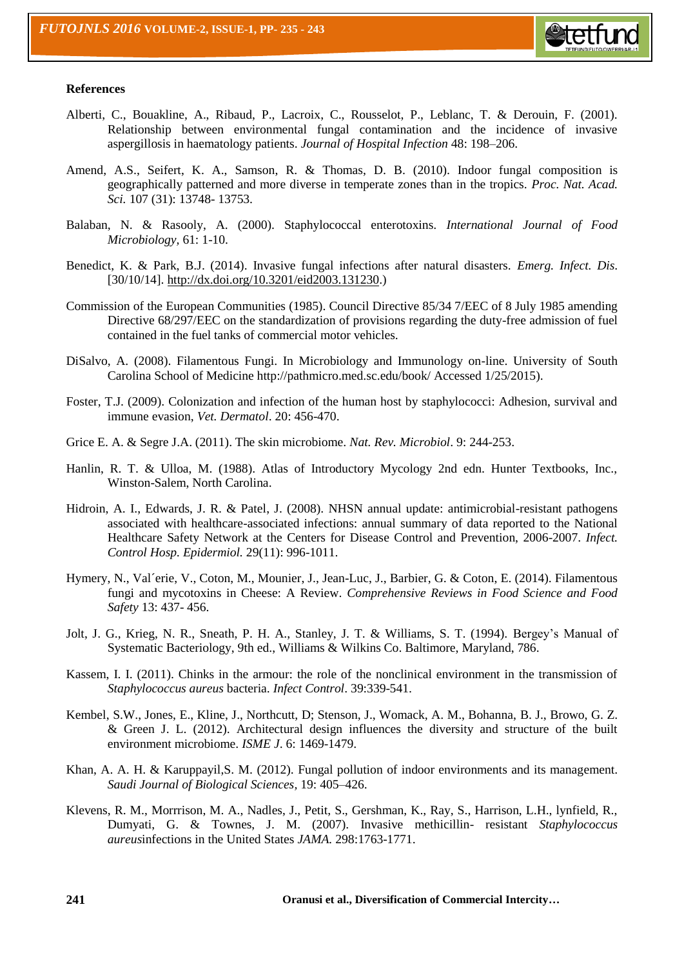

#### **References**

- Alberti, C., Bouakline, A., Ribaud, P., Lacroix, C., Rousselot, P., Leblanc, T. & Derouin, F. (2001). Relationship between environmental fungal contamination and the incidence of invasive aspergillosis in haematology patients. *Journal of Hospital Infection* 48: 198–206.
- Amend, A.S., Seifert, K. A., Samson, R. & Thomas, D. B. (2010). Indoor fungal composition is geographically patterned and more diverse in temperate zones than in the tropics. *Proc. Nat. Acad. Sci.* 107 (31): 13748- 13753.
- Balaban, N. & Rasooly, A. (2000). Staphylococcal enterotoxins. *International Journal of Food Microbiology,* 61: 1-10.
- Benedict, K. & Park, B.J. (2014). Invasive fungal infections after natural disasters. *Emerg. Infect. Dis*. [30/10/14]. [http://dx.doi.org/10.3201/eid2003.131230.](http://dx.doi.org/10.3201/eid2003.131230))
- Commission of the European Communities (1985). Council Directive 85/34 7/EEC of 8 July 1985 amending Directive 68/297/EEC on the standardization of provisions regarding the duty-free admission of fuel contained in the fuel tanks of commercial motor vehicles.
- DiSalvo, A. (2008). Filamentous Fungi. In Microbiology and Immunology on-line. University of South Carolina School of Medicine http://pathmicro.med.sc.edu/book/ Accessed 1/25/2015).
- Foster, T.J. (2009). Colonization and infection of the human host by staphylococci: Adhesion, survival and immune evasion, *Vet. Dermatol*. 20: 456-470.
- Grice E. A. & Segre J.A. (2011). The skin microbiome. *Nat. Rev. Microbiol*. 9: 244-253.
- Hanlin, R. T. & Ulloa, M. (1988). Atlas of Introductory Mycology 2nd edn. Hunter Textbooks, Inc., Winston-Salem, North Carolina.
- Hidroin, A. I., Edwards, J. R. & Patel, J. (2008). NHSN annual update: antimicrobial-resistant pathogens associated with healthcare-associated infections: annual summary of data reported to the National Healthcare Safety Network at the Centers for Disease Control and Prevention, 2006-2007. *Infect. Control Hosp. Epidermiol.* 29(11): 996-1011.
- Hymery, N., Val´erie, V., Coton, M., Mounier, J., Jean-Luc, J., Barbier, G. & Coton, E. (2014). Filamentous fungi and mycotoxins in Cheese: A Review. *Comprehensive Reviews in Food Science and Food Safety* 13: 437- 456.
- Jolt, J. G., Krieg, N. R., Sneath, P. H. A., Stanley, J. T. & Williams, S. T. (1994). Bergey's Manual of Systematic Bacteriology, 9th ed., Williams & Wilkins Co. Baltimore, Maryland, 786.
- Kassem, I. I. (2011). Chinks in the armour: the role of the nonclinical environment in the transmission of *Staphylococcus aureus* bacteria. *Infect Control*. 39:339-541.
- Kembel, S.W., Jones, E., Kline, J., Northcutt, D; Stenson, J., Womack, A. M., Bohanna, B. J., Browo, G. Z. & Green J. L. (2012). Architectural design influences the diversity and structure of the built environment microbiome. *ISME J*. 6: 1469-1479.
- Khan, A. A. H. & Karuppayil,S. M. (2012). Fungal pollution of indoor environments and its management. *Saudi Journal of Biological Sciences,* 19: 405–426.
- Klevens, R. M., Morrrison, M. A., Nadles, J., Petit, S., Gershman, K., Ray, S., Harrison, L.H., lynfield, R., Dumyati, G. & Townes, J. M. (2007). Invasive methicillin- resistant *Staphylococcus aureus*infections in the United States *JAMA.* 298:1763-1771.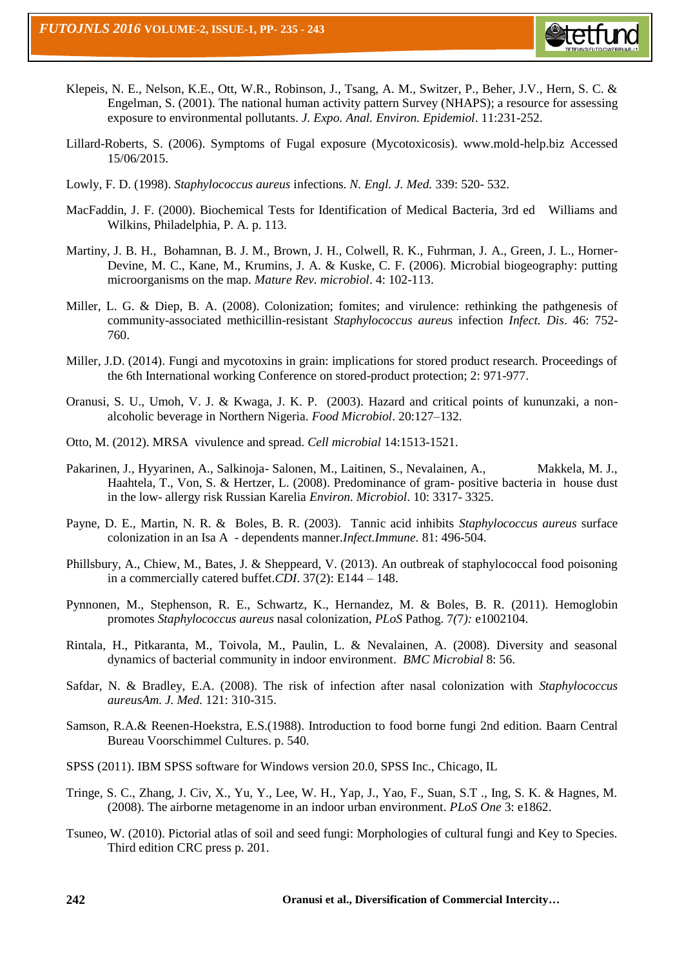

- Klepeis, N. E., Nelson, K.E., Ott, W.R., Robinson, J., Tsang, A. M., Switzer, P., Beher, J.V., Hern, S. C. & Engelman, S. (2001). The national human activity pattern Survey (NHAPS); a resource for assessing exposure to environmental pollutants. *J. Expo. Anal. Environ. Epidemiol*. 11:231-252.
- Lillard-Roberts, S. (2006). Symptoms of Fugal exposure (Mycotoxicosis). www.mold-help.biz Accessed 15/06/2015.
- Lowly, F. D. (1998). *Staphylococcus aureus* infections. *N. Engl. J. Med.* 339: 520- 532.
- MacFaddin, J. F. (2000). Biochemical Tests for Identification of Medical Bacteria, 3rd ed Williams and Wilkins, Philadelphia, P. A. p. 113.
- Martiny, J. B. H., Bohamnan, B. J. M., Brown, J. H., Colwell, R. K., Fuhrman, J. A., Green, J. L., Horner-Devine, M. C., Kane, M., Krumins, J. A. & Kuske, C. F. (2006). Microbial biogeography: putting microorganisms on the map. *Mature Rev. microbiol*. 4: 102-113.
- Miller, L. G. & Diep, B. A. (2008). Colonization; fomites; and virulence: rethinking the pathgenesis of community-associated methicillin-resistant *Staphylococcus aureu*s infection *Infect. Dis*. 46: 752- 760.
- Miller, J.D. (2014). Fungi and mycotoxins in grain: implications for stored product research. Proceedings of the 6th International working Conference on stored-product protection; 2: 971-977.
- Oranusi, S. U., Umoh, V. J. & Kwaga, J. K. P. (2003). Hazard and critical points of kununzaki, a nonalcoholic beverage in Northern Nigeria. *Food Microbiol*. 20:127–132.
- Otto, M. (2012). MRSA vivulence and spread. *Cell microbial* 14:1513-1521.
- Pakarinen, J., Hyyarinen, A., Salkinoja-Salonen, M., Laitinen, S., Nevalainen, A., Makkela, M. J., Haahtela, T., Von, S. & Hertzer, L. (2008). Predominance of gram- positive bacteria in house dust in the low- allergy risk Russian Karelia *Environ. Microbiol*. 10: 3317- 3325.
- Payne, D. E., Martin, N. R. & Boles, B. R. (2003). Tannic acid inhibits *Staphylococcus aureus* surface colonization in an Isa A - dependents manner.*Infect.Immune.* 81: 496-504.
- Phillsbury, A., Chiew, M., Bates, J. & Sheppeard, V. (2013). An outbreak of staphylococcal food poisoning in a commercially catered buffet.*CDI*. 37(2): E144 – 148.
- Pynnonen, M., Stephenson, R. E., Schwartz, K., Hernandez, M. & Boles, B. R. (2011). Hemoglobin promotes *Staphylococcus aureus* nasal colonization, *PLoS* Pathog. 7*(*7*):* e1002104.
- Rintala, H., Pitkaranta, M., Toivola, M., Paulin, L. & Nevalainen, A. (2008). Diversity and seasonal dynamics of bacterial community in indoor environment. *BMC Microbial* 8: 56.
- Safdar, N. & Bradley, E.A. (2008). The risk of infection after nasal colonization with *Staphylococcus aureusAm. J. Med.* 121: 310-315.
- Samson, R.A.& Reenen-Hoekstra, E.S.(1988). Introduction to food borne fungi 2nd edition. Baarn Central Bureau Voorschimmel Cultures. p. 540.
- SPSS (2011). IBM SPSS software for Windows version 20.0, SPSS Inc., Chicago, IL
- Tringe, S. C., Zhang, J. Civ, X., Yu, Y., Lee, W. H., Yap, J., Yao, F., Suan, S.T ., Ing, S. K. & Hagnes, M. (2008). The airborne metagenome in an indoor urban environment. *PLoS One* 3: e1862.
- Tsuneo, W. (2010). Pictorial atlas of soil and seed fungi: Morphologies of cultural fungi and Key to Species. Third edition CRC press p. 201.